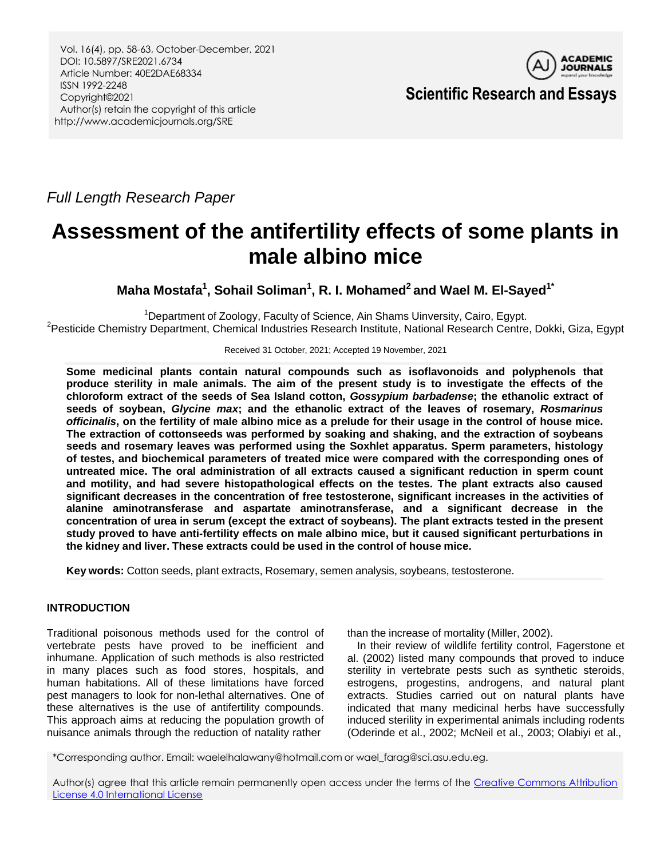

**Scientific Research and Essays**

*Full Length Research Paper*

# **Assessment of the antifertility effects of some plants in male albino mice**

**Maha Mostafa<sup>1</sup> , Sohail Soliman<sup>1</sup> , R. I. Mohamed<sup>2</sup> and Wael M. El-Sayed1\***

<sup>1</sup>Department of Zoology, Faculty of Science, Ain Shams Uinversity, Cairo, Egypt. <sup>2</sup>Pesticide Chemistry Department, Chemical Industries Research Institute, National Research Centre, Dokki, Giza, Egypt

Received 31 October, 2021; Accepted 19 November, 2021

**Some medicinal plants contain natural compounds such as isoflavonoids and polyphenols that** produce sterility in male animals. The aim of the present study is to investigate the effects of the **chloroform extract of the seeds of Sea Island cotton,** *Gossypium barbadense***; the ethanolic extract of seeds of soybean,** *Glycine max***; and the ethanolic extract of the leaves of rosemary,** *Rosmarinus* officinalis, on the fertility of male albino mice as a prelude for their usage in the control of house mice. **The extraction of cottonseeds was performed by soaking and shaking, and the extraction of soybeans seeds and rosemary leaves was performed using the Soxhlet apparatus. Sperm parameters, histology of testes, and biochemical parameters of treated mice were compared with the corresponding ones of untreated mice. The oral administration of all extracts caused a significant reduction in sperm count and motility, and had severe histopathological effects on the testes. The plant extracts also caused significant decreases in the concentration of free testosterone, significant increases in the activities of alanine aminotransferase and aspartate aminotransferase, and a significant decrease in the concentration of urea in serum (except the extract of soybeans). The plant extracts tested in the present study proved to have anti-fertility effects on male albino mice, but it caused significant perturbations in the kidney and liver. These extracts could be used in the control of house mice.**

**Key words:** Cotton seeds, plant extracts, Rosemary, semen analysis, soybeans, testosterone.

## **INTRODUCTION**

Traditional poisonous methods used for the control of vertebrate pests have proved to be inefficient and inhumane. Application of such methods is also restricted in many places such as food stores, hospitals, and human habitations. All of these limitations have forced pest managers to look for non-lethal alternatives. One of these alternatives is the use of antifertility compounds. This approach aims at reducing the population growth of nuisance animals through the reduction of natality rather

than the increase of mortality (Miller, 2002).

In their review of wildlife fertility control, Fagerstone et al. (2002) listed many compounds that proved to induce sterility in vertebrate pests such as synthetic steroids, estrogens, progestins, androgens, and natural plant extracts. Studies carried out on natural plants have indicated that many medicinal herbs have successfully induced sterility in experimental animals including rodents (Oderinde et al., 2002; McNeil et al., 2003; Olabiyi et al.,

\*Corresponding author. Email[: waelelhalawany@hotmail.com](mailto:waelelhalawany@hotmail.com) or [wael\\_farag@sci.asu.edu.eg.](mailto:wael_farag@sci.asu.edu.eg)

Author(s) agree that this article remain permanently open access under the terms of the [Creative Commons Attribution](http://creativecommons.org/licenses/by/4.0/deed.en_US)  [License 4.0 International License](http://creativecommons.org/licenses/by/4.0/deed.en_US)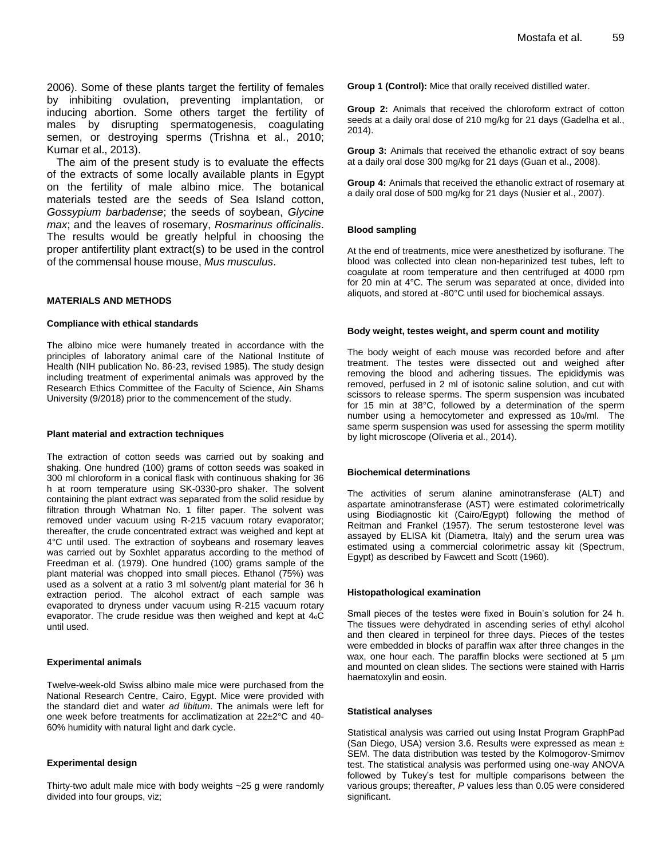2006). Some of these plants target the fertility of females by inhibiting ovulation, preventing implantation, or inducing abortion. Some others target the fertility of males by disrupting spermatogenesis, coagulating semen, or destroying sperms (Trishna et al., 2010; Kumar et al., 2013).

The aim of the present study is to evaluate the effects of the extracts of some locally available plants in Egypt on the fertility of male albino mice. The botanical materials tested are the seeds of Sea Island cotton, *Gossypium barbadense*; the seeds of soybean, *Glycine max*; and the leaves of rosemary, *Rosmarinus officinalis*. The results would be greatly helpful in choosing the proper antifertility plant extract(s) to be used in the control of the commensal house mouse, *Mus musculus*.

#### **MATERIALS AND METHODS**

#### **Compliance with ethical standards**

The albino mice were humanely treated in accordance with the principles of laboratory animal care of the National Institute of Health (NIH publication No. 86-23, revised 1985). The study design including treatment of experimental animals was approved by the Research Ethics Committee of the Faculty of Science, Ain Shams University (9/2018) prior to the commencement of the study.

#### **Plant material and extraction techniques**

The extraction of cotton seeds was carried out by soaking and shaking. One hundred (100) grams of cotton seeds was soaked in 300 ml chloroform in a conical flask with continuous shaking for 36 h at room temperature using SK-0330-pro shaker. The solvent containing the plant extract was separated from the solid residue by filtration through Whatman No. 1 filter paper. The solvent was removed under vacuum using R-215 vacuum rotary evaporator; thereafter, the crude concentrated extract was weighed and kept at 4°C until used. The extraction of soybeans and rosemary leaves was carried out by Soxhlet apparatus according to the method of Freedman et al. (1979). One hundred (100) grams sample of the plant material was chopped into small pieces. Ethanol (75%) was used as a solvent at a ratio 3 ml solvent/g plant material for 36 h extraction period. The alcohol extract of each sample was evaporated to dryness under vacuum using R-215 vacuum rotary evaporator. The crude residue was then weighed and kept at  $4\circ \text{C}$ until used.

#### **Experimental animals**

Twelve-week-old Swiss albino male mice were purchased from the National Research Centre, Cairo, Egypt. Mice were provided with the standard diet and water *ad libitum*. The animals were left for one week before treatments for acclimatization at 22±2°C and 40- 60% humidity with natural light and dark cycle.

#### **Experimental design**

Thirty-two adult male mice with body weights ~25 g were randomly divided into four groups, viz;

**Group 1 (Control):** Mice that orally received distilled water.

**Group 2:** Animals that received the chloroform extract of cotton seeds at a daily oral dose of 210 mg/kg for 21 days (Gadelha et al., 2014).

**Group 3:** Animals that received the ethanolic extract of soy beans at a daily oral dose 300 mg/kg for 21 days (Guan et al., 2008).

**Group 4:** Animals that received the ethanolic extract of rosemary at a daily oral dose of 500 mg/kg for 21 days (Nusier et al., 2007).

#### **Blood sampling**

At the end of treatments, mice were anesthetized by isoflurane. The blood was collected into clean non-heparinized test tubes, left to coagulate at room temperature and then centrifuged at 4000 rpm for 20 min at 4°C. The serum was separated at once, divided into aliquots, and stored at -80°C until used for biochemical assays.

#### **Body weight, testes weight, and sperm count and motility**

The body weight of each mouse was recorded before and after treatment. The testes were dissected out and weighed after removing the blood and adhering tissues. The epididymis was removed, perfused in 2 ml of isotonic saline solution, and cut with scissors to release sperms. The sperm suspension was incubated for 15 min at 38°C, followed by a determination of the sperm number using a hemocytometer and expressed as 106/ml. The same sperm suspension was used for assessing the sperm motility by light microscope (Oliveria et al., 2014).

#### **Biochemical determinations**

The activities of serum alanine aminotransferase (ALT) and aspartate aminotransferase (AST) were estimated colorimetrically using Biodiagnostic kit (Cairo/Egypt) following the method of Reitman and Frankel (1957). The serum testosterone level was assayed by ELISA kit (Diametra, Italy) and the serum urea was estimated using a commercial colorimetric assay kit (Spectrum, Egypt) as described by Fawcett and Scott (1960).

#### **Histopathological examination**

Small pieces of the testes were fixed in Bouin's solution for 24 h. The tissues were dehydrated in ascending series of ethyl alcohol and then cleared in terpineol for three days. Pieces of the testes were embedded in blocks of paraffin wax after three changes in the wax, one hour each. The paraffin blocks were sectioned at 5  $\mu$ m and mounted on clean slides. The sections were stained with Harris haematoxylin and eosin.

#### **Statistical analyses**

Statistical analysis was carried out using Instat Program GraphPad (San Diego, USA) version 3.6. Results were expressed as mean ± SEM. The data distribution was tested by the Kolmogorov-Smirnov test. The statistical analysis was performed using one-way ANOVA followed by Tukey's test for multiple comparisons between the various groups; thereafter, *P* values less than 0.05 were considered significant.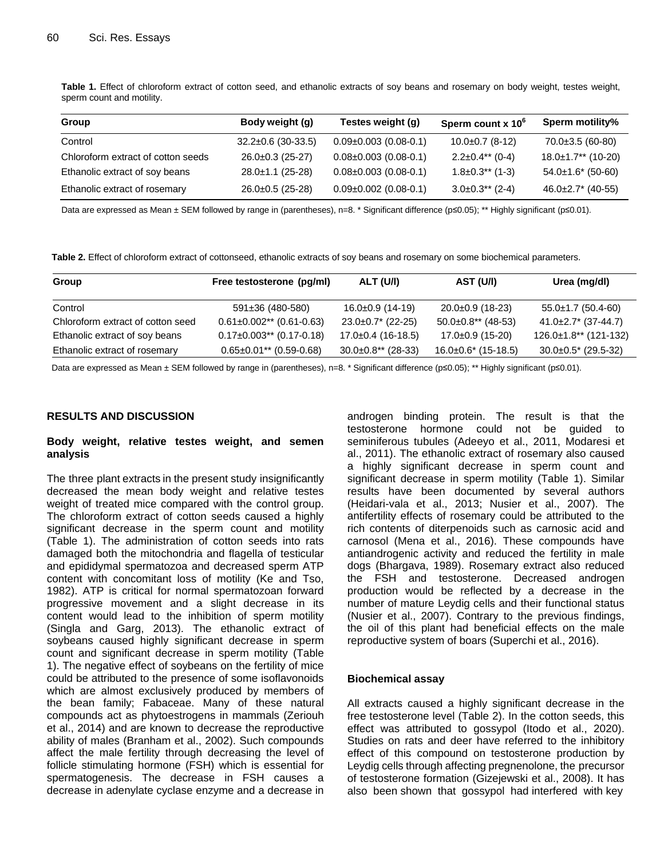**Table 1.** Effect of chloroform extract of cotton seed, and ethanolic extracts of soy beans and rosemary on body weight, testes weight, sperm count and motility.

| Group                              | Body weight (g)          | Testes weight (g)           | Sperm count x 10 <sup>6</sup> | <b>Sperm motility%</b>    |
|------------------------------------|--------------------------|-----------------------------|-------------------------------|---------------------------|
| Control                            | $32.2 \pm 0.6$ (30-33.5) | $0.09\pm0.003$ (0.08-0.1)   | $10.0 \pm 0.7$ (8-12)         | $70.0\pm3.5(60-80)$       |
| Chloroform extract of cotton seeds | $26.0\pm0.3$ (25-27)     | $0.08 \pm 0.003$ (0.08-0.1) | $2.2 \pm 0.4$ ** (0-4)        | $18.0 \pm 1.7$ ** (10-20) |
| Ethanolic extract of soy beans     | $28.0 \pm 1.1$ (25-28)   | $0.08 \pm 0.003$ (0.08-0.1) | $1.8 \pm 0.3$ ** (1-3)        | $54.0\pm1.6$ (50-60)      |
| Ethanolic extract of rosemary      | $26.0\pm0.5$ (25-28)     | $0.09\pm0.002$ (0.08-0.1)   | $3.0\pm0.3**$ (2-4)           | $46.0\pm2.7$ * (40-55)    |

Data are expressed as Mean ± SEM followed by range in (parentheses), n=8. \* Significant difference (p≤0.05); \*\* Highly significant (p≤0.01).

**Table 2.** Effect of chloroform extract of cottonseed, ethanolic extracts of soy beans and rosemary on some biochemical parameters.

| Group                             | Free testosterone (pg/ml)       | ALT (U/I)                 | AST (U/I)                  | Urea (mg/dl)                 |
|-----------------------------------|---------------------------------|---------------------------|----------------------------|------------------------------|
| Control                           | $591 \pm 36$ (480-580)          | $16.0 \pm 0.9$ (14-19)    | $20.0\pm0.9$ (18-23)       | $55.0 \pm 1.7$ (50.4-60)     |
| Chloroform extract of cotton seed | $0.61 \pm 0.002$ ** (0.61-0.63) | $23.0\pm0.7$ * (22-25)    | $50.0 \pm 0.8$ ** (48-53)  | $41.0\pm2.7$ * (37-44.7)     |
| Ethanolic extract of soy beans    | $0.17\pm0.003**$ (0.17-0.18)    | $17.0 \pm 0.4$ (16-18.5)  | $17.0 \pm 0.9$ (15-20)     | $126.0 \pm 1.8$ ** (121-132) |
| Ethanolic extract of rosemary     | $0.65 \pm 0.01$ ** (0.59-0.68)  | $30.0 \pm 0.8$ ** (28-33) | $16.0 \pm 0.6$ * (15-18.5) | $30.0 \pm 0.5^*$ (29.5-32)   |

Data are expressed as Mean ± SEM followed by range in (parentheses), n=8. \* Significant difference (p≤0.05); \*\* Highly significant (p≤0.01).

## **RESULTS AND DISCUSSION**

## **Body weight, relative testes weight, and semen analysis**

The three plant extracts in the present study insignificantly decreased the mean body weight and relative testes weight of treated mice compared with the control group. The chloroform extract of cotton seeds caused a highly significant decrease in the sperm count and motility (Table 1). The administration of cotton seeds into rats damaged both the mitochondria and flagella of testicular and epididymal spermatozoa and decreased sperm ATP content with concomitant loss of motility (Ke and Tso, 1982). ATP is critical for normal spermatozoan forward progressive movement and a slight decrease in its content would lead to the inhibition of sperm motility (Singla and Garg, 2013). The ethanolic extract of soybeans caused highly significant decrease in sperm count and significant decrease in sperm motility (Table 1). The negative effect of soybeans on the fertility of mice could be attributed to the presence of some isoflavonoids which are almost exclusively produced by members of the bean family; Fabaceae. Many of these natural compounds act as phytoestrogens in mammals (Zeriouh et al., 2014) and are known to decrease the reproductive ability of males (Branham et al., 2002). Such compounds affect the male fertility through decreasing the level of follicle stimulating hormone (FSH) which is essential for spermatogenesis. The decrease in FSH causes a decrease in adenylate cyclase enzyme and a decrease in androgen binding protein. The result is that the testosterone hormone could not be guided to seminiferous tubules (Adeeyo et al., 2011, Modaresi et al., 2011). The ethanolic extract of rosemary also caused a highly significant decrease in sperm count and significant decrease in sperm motility (Table 1). Similar results have been documented by several authors (Heidari-vala et al., 2013; Nusier et al., 2007). The antifertility effects of rosemary could be attributed to the rich contents of diterpenoids such as carnosic acid and carnosol (Mena et al., 2016). These compounds have antiandrogenic activity and reduced the fertility in male dogs (Bhargava, 1989). Rosemary extract also reduced the FSH and testosterone. Decreased androgen production would be reflected by a decrease in the number of mature Leydig cells and their functional status (Nusier et al., 2007). Contrary to the previous findings, the oil of this plant had beneficial effects on the male reproductive system of boars (Superchi et al., 2016).

## **Biochemical assay**

All extracts caused a highly significant decrease in the free testosterone level (Table 2). In the cotton seeds, this effect was attributed to gossypol (Itodo et al., 2020). Studies on rats and deer have referred to the inhibitory effect of this compound on testosterone production by Leydig cells through affecting pregnenolone, the precursor of testosterone formation [\(Gizejewski](https://www.scielo.br/scielo.php?script=sci_arttext&pid=S0103-90162016000600489&B13) et a[l.,](https://www.scielo.br/scielo.php?script=sci_arttext&pid=S0103-90162016000600489&B13) [2008\)](https://www.scielo.br/scielo.php?script=sci_arttext&pid=S0103-90162016000600489&B13). It has also been shown that gossypol had interfered with key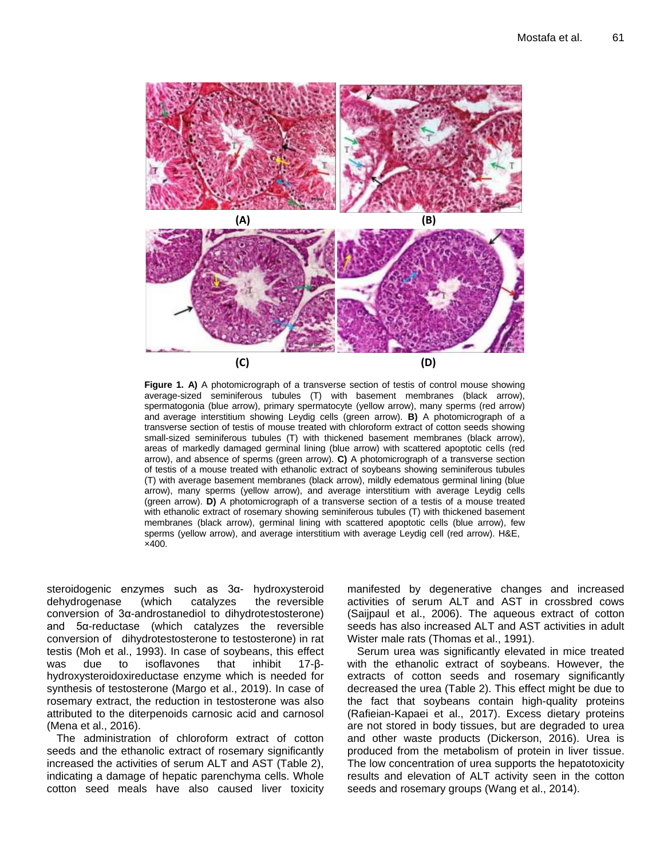

**Figure 1. A)** A photomicrograph of a transverse section of testis of control mouse showing average-sized seminiferous tubules (T) with basement membranes (black arrow), spermatogonia (blue arrow), primary spermatocyte (yellow arrow), many sperms (red arrow) and average interstitium showing Leydig cells (green arrow). **B)** A photomicrograph of a transverse section of testis of mouse treated with chloroform extract of cotton seeds showing small-sized seminiferous tubules (T) with thickened basement membranes (black arrow), areas of markedly damaged germinal lining (blue arrow) with scattered apoptotic cells (red arrow), and absence of sperms (green arrow). **C)** A photomicrograph of a transverse section of testis of a mouse treated with ethanolic extract of soybeans showing seminiferous tubules (T) with average basement membranes (black arrow), mildly edematous germinal lining (blue arrow), many sperms (yellow arrow), and average interstitium with average Leydig cells (green arrow). **D)** A photomicrograph of a transverse section of a testis of a mouse treated with ethanolic extract of rosemary showing seminiferous tubules (T) with thickened basement membranes (black arrow), germinal lining with scattered apoptotic cells (blue arrow), few sperms (yellow arrow), and average interstitium with average Leydig cell (red arrow). H&E, ×400.

steroidogenic enzymes such as 3α- hydroxysteroid<br>dehydrogenase (which catalyzes the reversible dehydrogenase (which catalyzes the reversible conversion of 3α-androstanediol to dihydrotestosterone) and 5α-reductase (which catalyzes the reversible conversion of dihydrotestosterone to testosterone) in rat testis [\(Moh](https://www.scielo.br/scielo.php?script=sci_arttext&pid=S0103-90162016000600489&B20) [et al., 1993\)](https://www.scielo.br/scielo.php?script=sci_arttext&pid=S0103-90162016000600489&B20). In case of soybeans, this effect was due to isoflavones that inhibit 17-βhydroxysteroidoxireductase enzyme which is needed for synthesis of testosterone (Margo et al., 2019). In case of rosemary extract, the reduction in testosterone was also attributed to the diterpenoids carnosic acid and carnosol (Mena et al., 2016).

The administration of chloroform extract of cotton seeds and the ethanolic extract of rosemary significantly increased the activities of serum ALT and AST (Table 2), indicating a damage of hepatic parenchyma cells. Whole cotton seed meals have also caused liver toxicity manifested by degenerative changes and increased activities of serum ALT and AST in crossbred cows (Saijpaul et al., 2006). The aqueous extract of cotton seeds has also increased ALT and AST activities in adult Wister male rats (Thomas et al., 1991).

Serum urea was significantly elevated in mice treated with the ethanolic extract of soybeans. However, the extracts of cotton seeds and rosemary significantly decreased the urea (Table 2). This effect might be due to the fact that soybeans contain high-quality proteins (Rafieian-Kapaei et al., 2017). Excess dietary proteins are not stored in body tissues, but are degraded to urea and other waste products (Dickerson, 2016). Urea is produced from the metabolism of protein in liver tissue. The low concentration of urea supports the hepatotoxicity results and elevation of ALT activity seen in the cotton seeds and rosemary groups (Wang et al., 2014).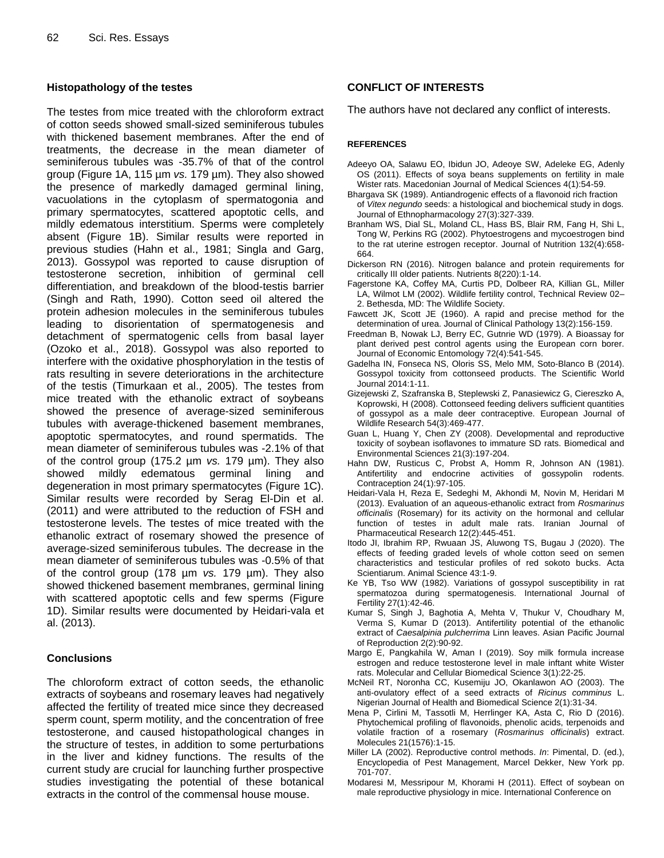## **Histopathology of the testes**

The testes from mice treated with the chloroform extract of cotton seeds showed small-sized seminiferous tubules with thickened basement membranes. After the end of treatments, the decrease in the mean diameter of seminiferous tubules was -35.7% of that of the control group (Figure 1A, 115 µm *vs.* 179 µm). They also showed the presence of markedly damaged germinal lining, vacuolations in the cytoplasm of spermatogonia and primary spermatocytes, scattered apoptotic cells, and mildly edematous interstitium. Sperms were completely absent (Figure 1B). Similar results were reported in previous studies (Hahn et al., 1981; Singla and Garg, 2013). Gossypol was reported to cause disruption of testosterone secretion, inhibition of germinal cell differentiation, and breakdown of the blood-testis barrier (Singh and Rath, 1990). Cotton seed oil altered the protein adhesion molecules in the seminiferous tubules leading to disorientation of spermatogenesis and detachment of spermatogenic cells from basal layer (Ozoko et al., 2018). Gossypol was also reported to interfere with the oxidative phosphorylation in the testis of rats resulting in severe deteriorations in the architecture of the testis (Timurkaan et al., 2005). The testes from mice treated with the ethanolic extract of soybeans showed the presence of average-sized seminiferous tubules with average-thickened basement membranes, apoptotic spermatocytes, and round spermatids. The mean diameter of seminiferous tubules was -2.1% of that of the control group (175.2 µm *vs.* 179 µm). They also showed mildly edematous germinal lining and degeneration in most primary spermatocytes (Figure 1C). Similar results were recorded by Serag El-Din et al. (2011) and were attributed to the reduction of FSH and testosterone levels. The testes of mice treated with the ethanolic extract of rosemary showed the presence of average-sized seminiferous tubules. The decrease in the mean diameter of seminiferous tubules was -0.5% of that of the control group (178 µm *vs.* 179 µm). They also showed thickened basement membranes, germinal lining with scattered apoptotic cells and few sperms (Figure 1D). Similar results were documented by Heidari-vala et al. (2013).

## **Conclusions**

The chloroform extract of cotton seeds, the ethanolic extracts of soybeans and rosemary leaves had negatively affected the fertility of treated mice since they decreased sperm count, sperm motility, and the concentration of free testosterone, and caused histopathological changes in the structure of testes, in addition to some perturbations in the liver and kidney functions. The results of the current study are crucial for launching further prospective studies investigating the potential of these botanical extracts in the control of the commensal house mouse.

## **CONFLICT OF INTERESTS**

The authors have not declared any conflict of interests.

## **REFERENCES**

- Adeeyo OA, Salawu EO, Ibidun JO, Adeoye SW, Adeleke EG, Adenly OS (2011). Effects of soya beans supplements on fertility in male Wister rats. Macedonian Journal of Medical Sciences 4(1):54-59.
- Bhargava SK (1989). Antiandrogenic effects of a flavonoid rich fraction of *Vitex negundo* seeds: a histological and biochemical study in dogs. Journal of Ethnopharmacology 27(3):327-339.
- Branham WS, Dial SL, Moland CL, Hass BS, Blair RM, Fang H, Shi L, Tong W, Perkins RG (2002). Phytoestrogens and mycoestrogen bind to the rat uterine estrogen receptor. Journal of Nutrition 132(4):658- 664.
- Dickerson RN (2016). Nitrogen balance and protein requirements for critically III older patients. Nutrients 8(220):1-14.
- Fagerstone KA, Coffey MA, Curtis PD, Dolbeer RA, Killian GL, Miller LA, Wilmot LM (2002). Wildlife fertility control, Technical Review 02– 2. Bethesda, MD: The Wildlife Society.
- Fawcett JK, Scott JE (1960). A rapid and precise method for the determination of urea. Journal of Clinical Pathology 13(2):156-159.
- Freedman B, Nowak LJ, Berry EC, Gutnrie WD (1979). A Bioassay for plant derived pest control agents using the European corn borer. Journal of Economic Entomology 72(4):541-545.
- Gadelha IN, Fonseca NS, Oloris SS, Melo MM, Soto-Blanco B (2014). Gossypol toxicity from cottonseed products. The Scientific World Journal 2014:1-11.
- Gizejewski Z, Szafranska B, Steplewski Z, Panasiewicz G, Ciereszko A, Koprowski, H (2008). Cottonseed feeding delivers sufficient quantities of gossypol as a male deer contraceptive. European Journal of Wildlife Research 54(3):469-477.
- Guan L, Huang Y, Chen ZY (2008). Developmental and reproductive toxicity of soybean isoflavones to immature SD rats. Biomedical and Environmental Sciences 21(3):197-204.
- Hahn DW, Rusticus C, Probst A, Homm R, Johnson AN (1981). Antifertility and endocrine activities of gossypolin rodents. Contraception 24(1):97-105.
- Heidari-Vala H, Reza E, Sedeghi M, Akhondi M, Novin M, Heridari M (2013). Evaluation of an aqueous-ethanolic extract from *Rosmarinus officinalis* (Rosemary) for its activity on the hormonal and cellular function of testes in adult male rats. Iranian Journal of Pharmaceutical Research 12(2):445-451.
- Itodo JI, Ibrahim RP, Rwuaan JS, Aluwong TS, Bugau J (2020). The effects of feeding graded levels of whole cotton seed on semen characteristics and testicular profiles of red sokoto bucks. Acta Scientiarum. Animal Science 43:1-9.
- Ke YB, Tso WW (1982). Variations of gossypol susceptibility in rat spermatozoa during spermatogenesis. International Journal of Fertility 27(1):42-46.
- Kumar S, Singh J, Baghotia A, Mehta V, Thukur V, Choudhary M, Verma S, Kumar D (2013). Antifertility potential of the ethanolic extract of *Caesalpinia pulcherrima* Linn leaves. Asian Pacific Journal of Reproduction 2(2):90-92.
- Margo E, Pangkahila W, Aman I (2019). Soy milk formula increase estrogen and reduce testosterone level in male inftant white Wister rats. Molecular and Cellular Biomedical Science 3(1):22-25.
- McNeil RT, Noronha CC, Kusemiju JO, Okanlawon AO (2003). The anti-ovulatory effect of a seed extracts of *Ricinus comminus* L. Nigerian Journal of Health and Biomedical Science 2(1):31-34.
- Mena P, Cirlini M, Tassotli M, Herrlinger KA, Asta C, Rio D (2016). Phytochemical profiling of flavonoids, phenolic acids, terpenoids and volatile fraction of a rosemary (*Rosmarinus officinalis*) extract. Molecules 21(1576):1-15.
- Miller LA (2002). Reproductive control methods. *In*: Pimental, D. (ed.), Encyclopedia of Pest Management, Marcel Dekker, New York pp. 701-707.
- Modaresi M, Messripour M, Khorami H (2011). Effect of soybean on male reproductive physiology in mice. International Conference on